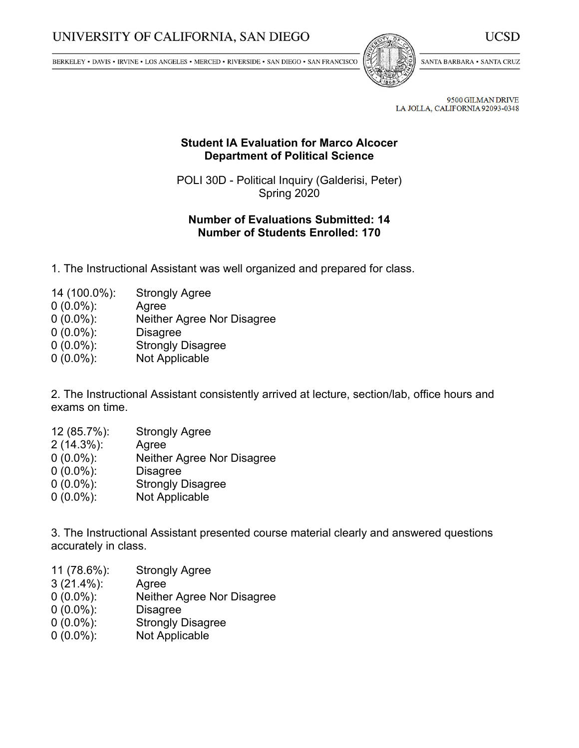BERKELEY • DAVIS • IRVINE • LOS ANGELES • MERCED • RIVERSIDE • SAN DIEGO • SAN FRANCISCO



SANTA BARBARA . SANTA CRUZ

UCSD

9500 GILMAN DRIVE LA JOLLA, CALIFORNIA 92093-0348

## **Student IA Evaluation for Marco Alcocer Department of Political Science**

POLI 30D - Political Inquiry (Galderisi, Peter) Spring 2020

## **Number of Evaluations Submitted: 14 Number of Students Enrolled: 170**

- 1. The Instructional Assistant was well organized and prepared for class.
- 14 (100.0%): Strongly Agree
- 0 (0.0%): Agree
- 0 (0.0%): Neither Agree Nor Disagree
- 0 (0.0%): Disagree
- 0 (0.0%): Strongly Disagree
- 0 (0.0%): Not Applicable

2. The Instructional Assistant consistently arrived at lecture, section/lab, office hours and exams on time.

- 12 (85.7%): Strongly Agree
- 2 (14.3%): Agree
- 0 (0.0%): Neither Agree Nor Disagree
- 0 (0.0%): Disagree
- 0 (0.0%): Strongly Disagree
- 0 (0.0%): Not Applicable

3. The Instructional Assistant presented course material clearly and answered questions accurately in class.

- 11 (78.6%): Strongly Agree
- 3 (21.4%): Agree
- 0 (0.0%): Neither Agree Nor Disagree
- 0 (0.0%): Disagree
- 0 (0.0%): Strongly Disagree
- 0 (0.0%): Not Applicable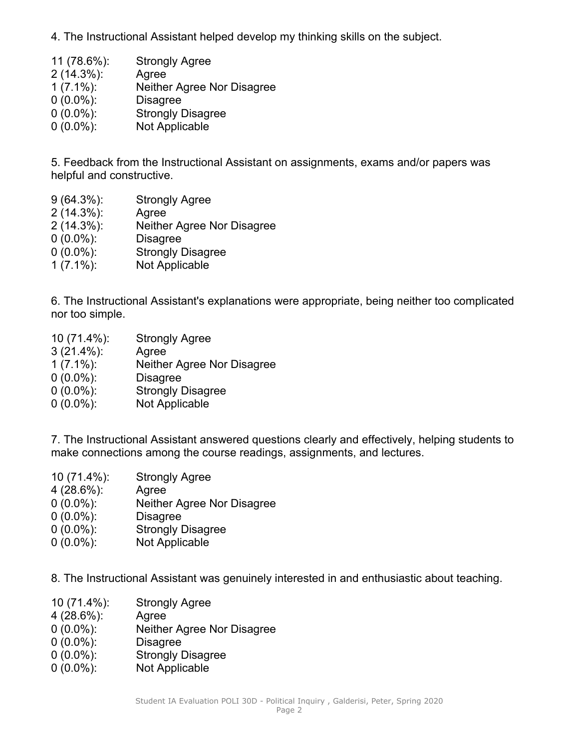4. The Instructional Assistant helped develop my thinking skills on the subject.

- 11 (78.6%): Strongly Agree 2 (14.3%): Agree 1 (7.1%): Neither Agree Nor Disagree 0 (0.0%): Disagree 0 (0.0%): Strongly Disagree
- 0 (0.0%): Not Applicable

5. Feedback from the Instructional Assistant on assignments, exams and/or papers was helpful and constructive.

- 9 (64.3%): Strongly Agree
- 2 (14.3%): Agree
- 2 (14.3%): Neither Agree Nor Disagree
- 0 (0.0%): Disagree
- 0 (0.0%): Strongly Disagree
- 1 (7.1%): Not Applicable

6. The Instructional Assistant's explanations were appropriate, being neither too complicated nor too simple.

 (71.4%): Strongly Agree (21.4%): Agree (7.1%): Neither Agree Nor Disagree (0.0%): Disagree (0.0%): Strongly Disagree (0.0%): Not Applicable

7. The Instructional Assistant answered questions clearly and effectively, helping students to make connections among the course readings, assignments, and lectures.

 (71.4%): Strongly Agree (28.6%): Agree (0.0%): Neither Agree Nor Disagree (0.0%): Disagree (0.0%): Strongly Disagree (0.0%): Not Applicable

8. The Instructional Assistant was genuinely interested in and enthusiastic about teaching.

- 10 (71.4%): Strongly Agree
- 4 (28.6%): Agree
- 0 (0.0%): Neither Agree Nor Disagree
- 0 (0.0%): Disagree
- 0 (0.0%): Strongly Disagree
- 0 (0.0%): Not Applicable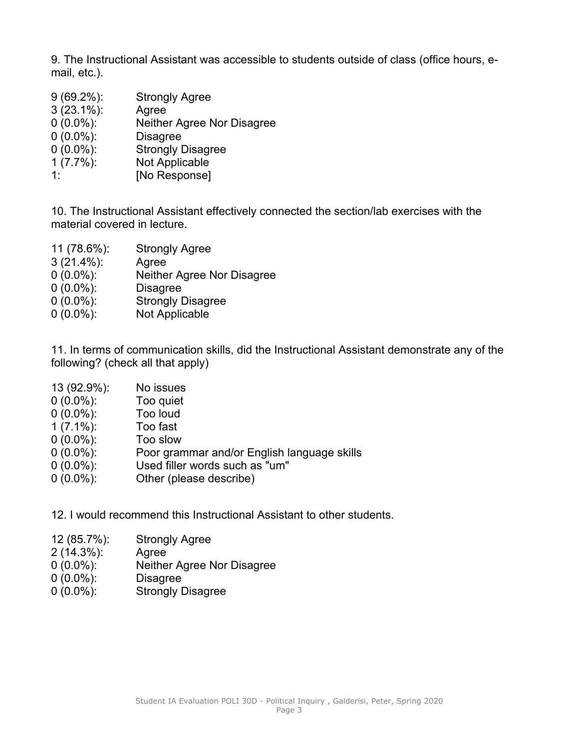9. The Instructional Assistant was accessible to students outside of class (office hours, email, etc.).

 (69.2%): Strongly Agree (23.1%): Agree (0.0%): Neither Agree Nor Disagree (0.0%): Disagree (0.0%): Strongly Disagree (7.7%): Not Applicable 1: [No Response]

10. The Instructional Assistant effectively connected the section/lab exercises with the material covered in lecture.

 (78.6%): Strongly Agree (21.4%): Agree (0.0%): Neither Agree Nor Disagree (0.0%): Disagree (0.0%): Strongly Disagree (0.0%): Not Applicable

11. In terms of communication skills, did the Instructional Assistant demonstrate any of the following? (check all that apply)

- 13 (92.9%): No issues
- 0 (0.0%): Too quiet
- 0 (0.0%): Too loud
- 1 (7.1%): Too fast
- 0 (0.0%): Too slow
- 0 (0.0%): Poor grammar and/or English language skills
- 0 (0.0%): Used filler words such as "um"
- 0 (0.0%): Other (please describe)
- 12. I would recommend this Instructional Assistant to other students.
- 12 (85.7%): Strongly Agree
- 2 (14.3%): Agree
- 0 (0.0%): Neither Agree Nor Disagree
- 0 (0.0%): Disagree
- 0 (0.0%): Strongly Disagree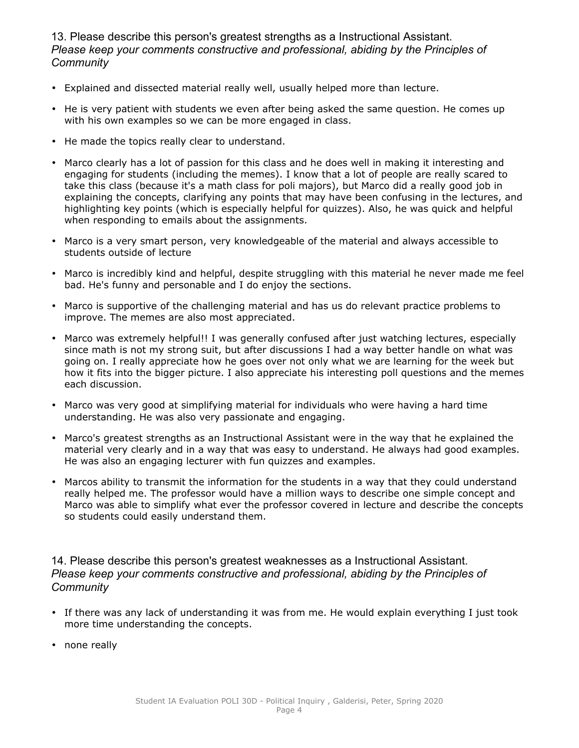13. Please describe this person's greatest strengths as <sup>a</sup> Instructional Assistant. *Please keep your comments constructive and professional, abiding by the Principles of Community*

- Explained and dissected material really well, usually helped more than lecture.
- He is very patient with students we even after being asked the same question. He comes up with his own examples so we can be more engaged in class.
- He made the topics really clear to understand.
- Marco clearly has <sup>a</sup> lot of passion for this class and he does well in making it interesting and engaging for students (including the memes). I know that <sup>a</sup> lot of people are really scared to take this class (because it's <sup>a</sup> math class for poli majors), but Marco did <sup>a</sup> really good job in explaining the concepts, clarifying any points that may have been confusing in the lectures, and highlighting key points (which is especially helpful for quizzes). Also, he was quick and helpful when responding to emails about the assignments.
- Marco is <sup>a</sup> very smart person, very knowledgeable of the material and always accessible to students outside of lecture
- Marco is incredibly kind and helpful, despite struggling with this material he never made me feel bad. He's funny and personable and I do enjoy the sections.
- Marco is supportive of the challenging material and has us do relevant practice problems to improve. The memes are also most appreciated.
- Marco was extremely helpful!! I was generally confused after just watching lectures, especially since math is not my strong suit, but after discussions I had <sup>a</sup> way better handle on what was going on. I really appreciate how he goes over not only what we are learning for the week but how it fits into the bigger picture. I also appreciate his interesting poll questions and the memes each discussion.
- Marco was very good at simplifying material for individuals who were having <sup>a</sup> hard time understanding. He was also very passionate and engaging.
- Marco's greatest strengths as an Instructional Assistant were in the way that he explained the material very clearly and in <sup>a</sup> way that was easy to understand. He always had good examples. He was also an engaging lecturer with fun quizzes and examples.
- Marcos ability to transmit the information for the students in <sup>a</sup> way that they could understand really helped me. The professor would have <sup>a</sup> million ways to describe one simple concept and Marco was able to simplify what ever the professor covered in lecture and describe the concepts so students could easily understand them.

14. Please describe this person's greatest weaknesses as <sup>a</sup> Instructional Assistant. *Please keep your comments constructive and professional, abiding by the Principles of Community*

- If there was any lack of understanding it was from me. He would explain everything I just took more time understanding the concepts.
- none really